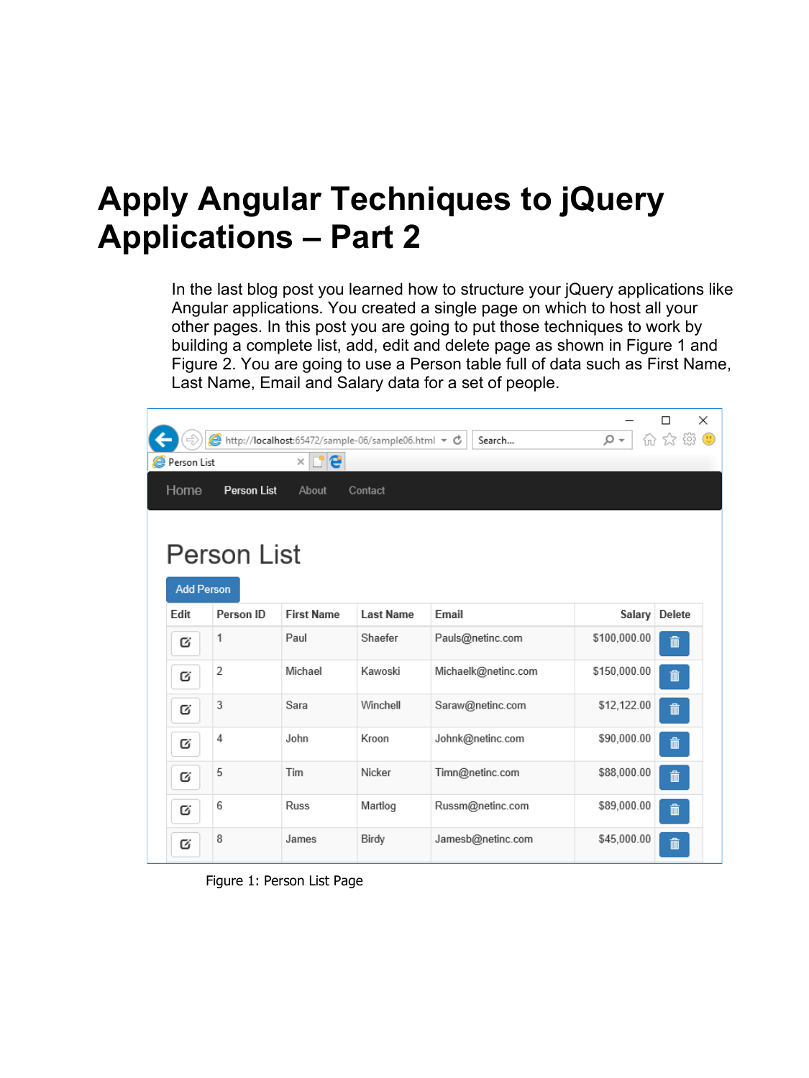## **Apply Angular Techniques to jQuery Applications – Part 2**

In the last blog post you learned how to structure your jQuery applications like Angular applications. You created a single page on which to host all your other pages. In this post you are going to put those techniques to work by building a complete list, add, edit and delete page as shown in [Figure 1](#page-0-0) and [Figure 2.](#page-1-0) You are going to use a Person table full of data such as First Name, Last Name, Email and Salary data for a set of people.

|                                |                    | A http://localhost:65472/sample-06/sample06.html ▼ C |                  | Search              | - ۹          | $\times$<br>价 众 徽 ● |  |  |  |
|--------------------------------|--------------------|------------------------------------------------------|------------------|---------------------|--------------|---------------------|--|--|--|
| r'e<br>Person List<br>$\times$ |                    |                                                      |                  |                     |              |                     |  |  |  |
| Home                           | <b>Person List</b> | About                                                | Contact          |                     |              |                     |  |  |  |
|                                |                    |                                                      |                  |                     |              |                     |  |  |  |
| <b>Person List</b>             |                    |                                                      |                  |                     |              |                     |  |  |  |
| <b>Add Person</b>              |                    |                                                      |                  |                     |              |                     |  |  |  |
| Edit                           | Person ID          | <b>First Name</b>                                    | <b>Last Name</b> | Email               | Salary       | <b>Delete</b>       |  |  |  |
| Q                              | 1                  | Paul                                                 | Shaefer          | Pauls@netinc.com    | \$100,000.00 | $\mathbf{m}$        |  |  |  |
| Q                              | 2                  | Michael                                              | Kawoski          | Michaelk@netinc.com | \$150,000.00 | $\hat{\mathbf{m}}$  |  |  |  |
| Q                              | 3                  | Sara                                                 | Winchell         | Saraw@netinc.com    | \$12,122.00  | $\hat{\mathbb{m}}$  |  |  |  |
| Q                              | 4                  | John                                                 | Kroon            | Johnk@netinc.com    | \$90,000.00  | $\hat{\mathbf{m}}$  |  |  |  |
| Q                              | 5                  | Tim                                                  | Nicker           | Timn@netinc.com     | \$88,000.00  | $\hat{\mathbb{I}}$  |  |  |  |
| Q                              | 6                  | <b>Russ</b>                                          | Martlog          | Russm@netinc.com    | \$89,000.00  | $\hat{\mathbf{m}}$  |  |  |  |
| Ø                              | 8                  | James                                                | Birdy            | Jamesb@netinc.com   | \$45,000.00  | û                   |  |  |  |

<span id="page-0-0"></span>Figure 1: Person List Page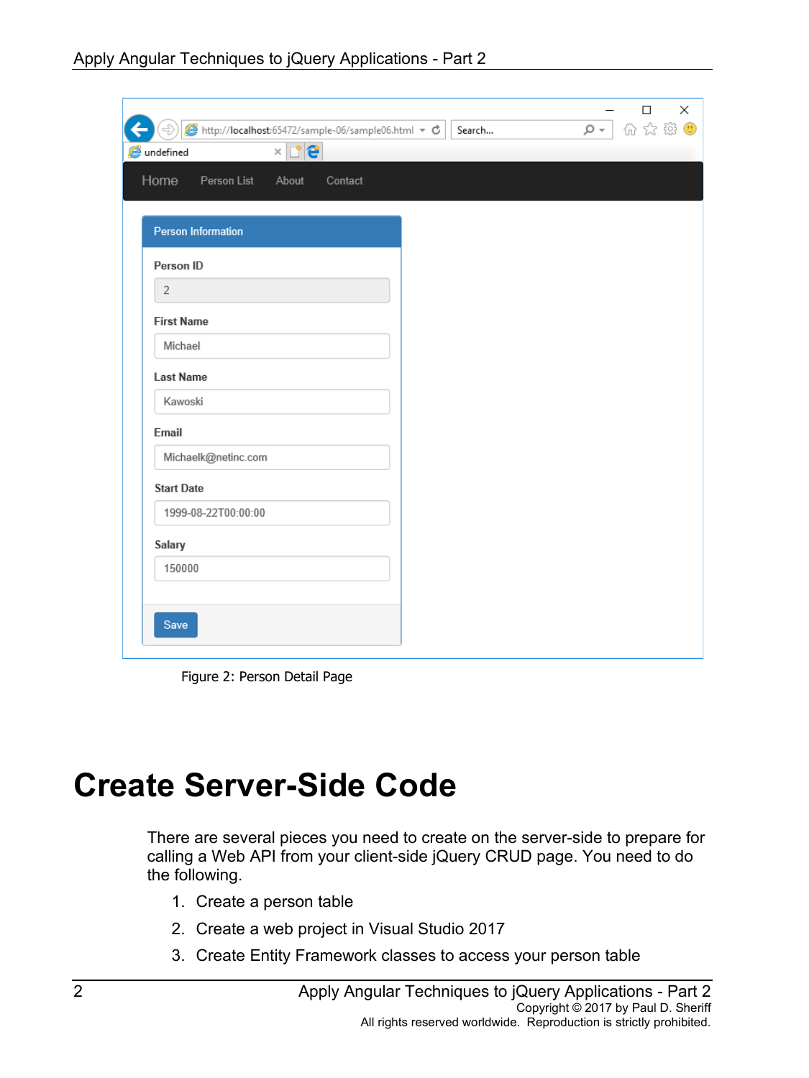| Home<br>Person List<br>About<br>Contact |  |  |
|-----------------------------------------|--|--|
|                                         |  |  |
| <b>Person Information</b>               |  |  |
| Person ID                               |  |  |
| $\overline{2}$                          |  |  |
| <b>First Name</b>                       |  |  |
| Michael                                 |  |  |
| <b>Last Name</b>                        |  |  |
| Kawoski                                 |  |  |
| Email                                   |  |  |
| Michaelk@netinc.com                     |  |  |
| <b>Start Date</b>                       |  |  |
| 1999-08-22T00:00:00                     |  |  |
| Salary                                  |  |  |
| 150000                                  |  |  |

Figure 2: Person Detail Page

## <span id="page-1-0"></span>**Create Server-Side Code**

There are several pieces you need to create on the server-side to prepare for calling a Web API from your client-side jQuery CRUD page. You need to do the following.

- 1. Create a person table
- 2. Create a web project in Visual Studio 2017
- 3. Create Entity Framework classes to access your person table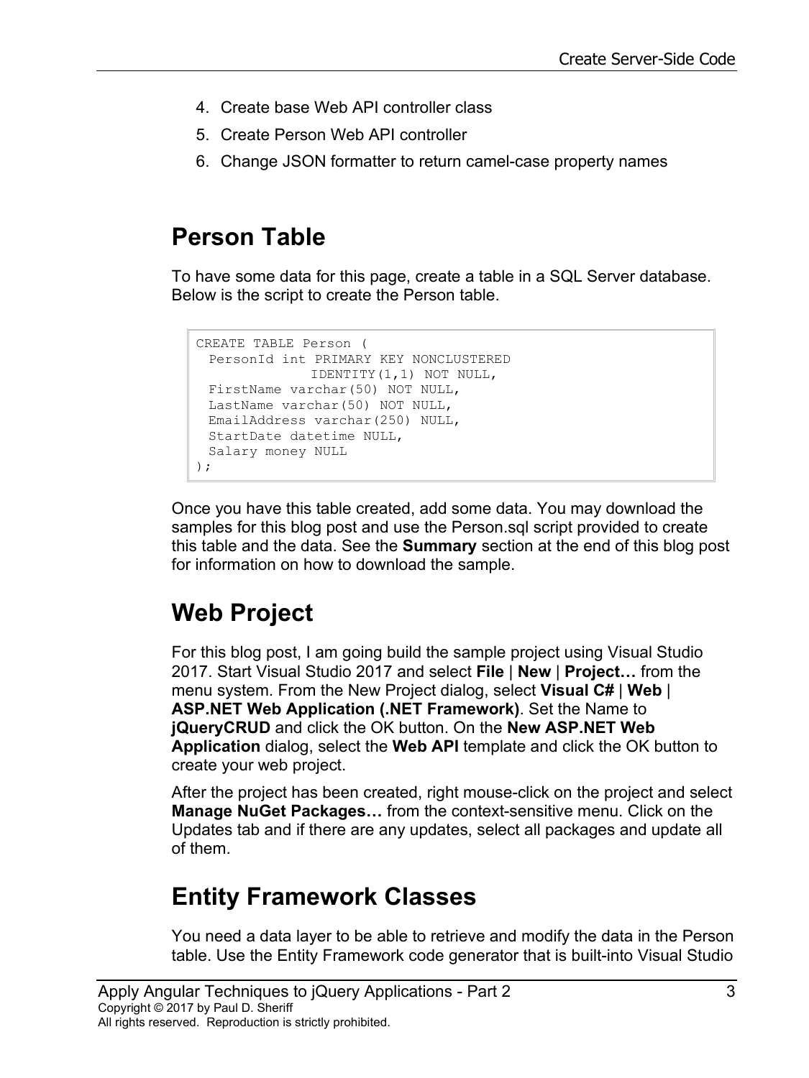- 4. Create base Web API controller class
- 5. Create Person Web API controller
- 6. Change JSON formatter to return camel-case property names

#### **Person Table**

To have some data for this page, create a table in a SQL Server database. Below is the script to create the Person table.

```
CREATE TABLE Person (
 PersonId int PRIMARY KEY NONCLUSTERED
              IDENTITY(1,1) NOT NULL,
FirstName varchar(50) NOT NULL,
LastName varchar(50) NOT NULL,
EmailAddress varchar(250) NULL,
StartDate datetime NULL,
Salary money NULL
);
```
Once you have this table created, add some data. You may download the samples for this blog post and use the Person.sql script provided to create this table and the data. See the **Summary** section at the end of this blog post for information on how to download the sample.

## **Web Project**

For this blog post, I am going build the sample project using Visual Studio 2017. Start Visual Studio 2017 and select **File** | **New** | **Project…** from the menu system. From the New Project dialog, select **Visual C#** | **Web** | **ASP.NET Web Application (.NET Framework)**. Set the Name to **jQueryCRUD** and click the OK button. On the **New ASP.NET Web Application** dialog, select the **Web API** template and click the OK button to create your web project.

After the project has been created, right mouse-click on the project and select **Manage NuGet Packages…** from the context-sensitive menu. Click on the Updates tab and if there are any updates, select all packages and update all of them.

## **Entity Framework Classes**

You need a data layer to be able to retrieve and modify the data in the Person table. Use the Entity Framework code generator that is built-into Visual Studio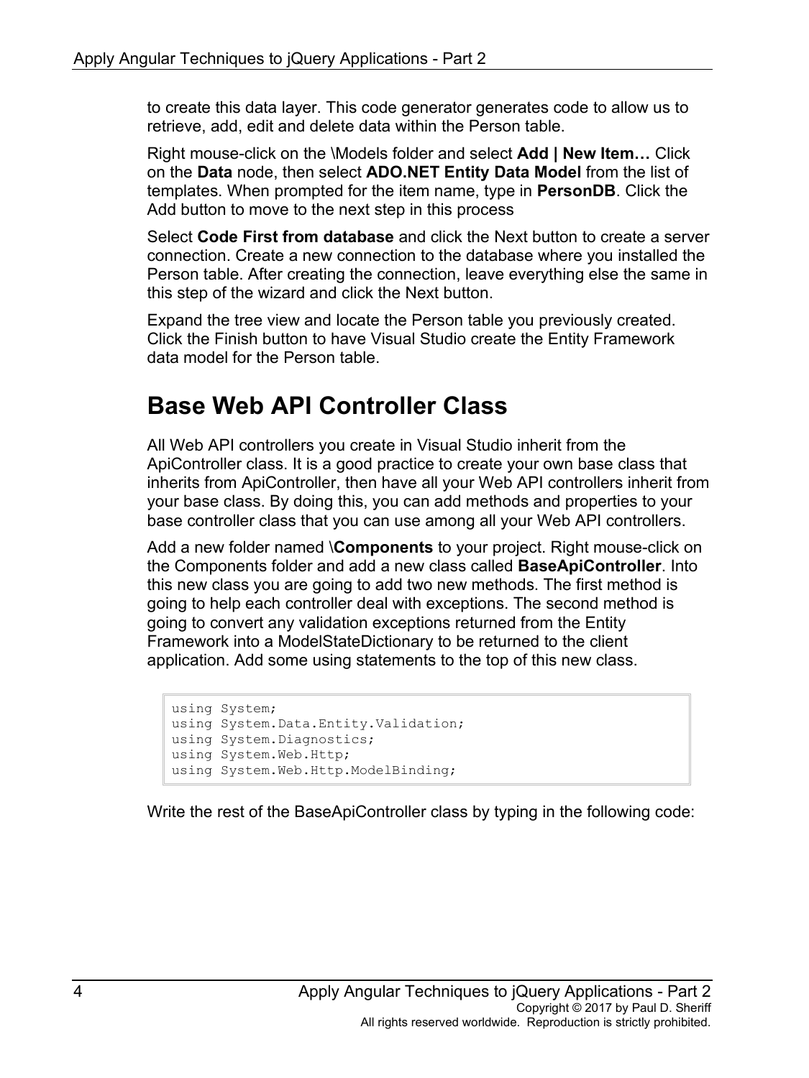to create this data layer. This code generator generates code to allow us to retrieve, add, edit and delete data within the Person table.

Right mouse-click on the \Models folder and select **Add | New Item…** Click on the **Data** node, then select **ADO.NET Entity Data Model** from the list of templates. When prompted for the item name, type in **PersonDB**. Click the Add button to move to the next step in this process

Select **Code First from database** and click the Next button to create a server connection. Create a new connection to the database where you installed the Person table. After creating the connection, leave everything else the same in this step of the wizard and click the Next button.

Expand the tree view and locate the Person table you previously created. Click the Finish button to have Visual Studio create the Entity Framework data model for the Person table.

#### **Base Web API Controller Class**

All Web API controllers you create in Visual Studio inherit from the ApiController class. It is a good practice to create your own base class that inherits from ApiController, then have all your Web API controllers inherit from your base class. By doing this, you can add methods and properties to your base controller class that you can use among all your Web API controllers.

Add a new folder named \**Components** to your project. Right mouse-click on the Components folder and add a new class called **BaseApiController**. Into this new class you are going to add two new methods. The first method is going to help each controller deal with exceptions. The second method is going to convert any validation exceptions returned from the Entity Framework into a ModelStateDictionary to be returned to the client application. Add some using statements to the top of this new class.

```
using System;
using System.Data.Entity.Validation;
using System.Diagnostics;
using System.Web.Http;
using System.Web.Http.ModelBinding;
```
Write the rest of the BaseApiController class by typing in the following code: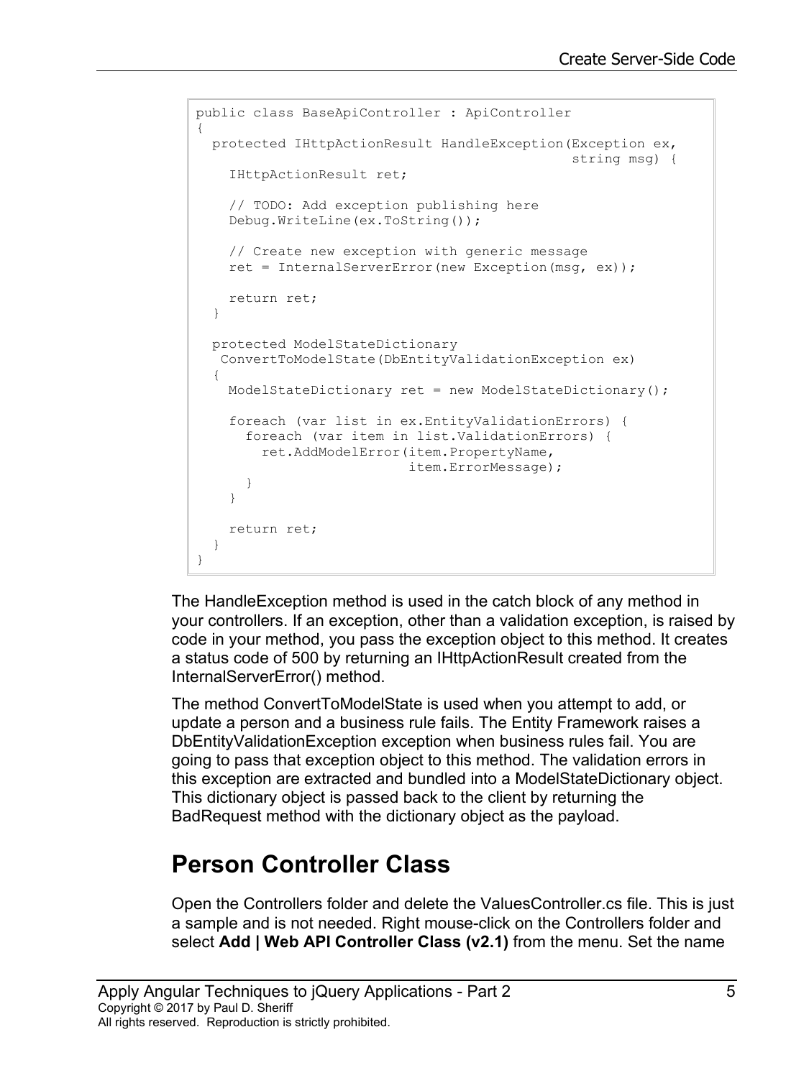```
public class BaseApiController : ApiController
{
  protected IHttpActionResult HandleException(Exception ex,
                                                 string msg) {
     IHttpActionResult ret;
     // TODO: Add exception publishing here
     Debug.WriteLine(ex.ToString());
     // Create new exception with generic message 
     ret = InternalServerError(new Exception(msg, ex));
    return ret;
   }
  protected ModelStateDictionary
    ConvertToModelState(DbEntityValidationException ex)
   {
     ModelStateDictionary ret = new ModelStateDictionary();
     foreach (var list in ex.EntityValidationErrors) {
       foreach (var item in list.ValidationErrors) {
         ret.AddModelError(item.PropertyName, 
                            item.ErrorMessage);
 }
     }
    return ret;
   }
}
```
The HandleException method is used in the catch block of any method in your controllers. If an exception, other than a validation exception, is raised by code in your method, you pass the exception object to this method. It creates a status code of 500 by returning an IHttpActionResult created from the InternalServerError() method.

The method ConvertToModelState is used when you attempt to add, or update a person and a business rule fails. The Entity Framework raises a DbEntityValidationException exception when business rules fail. You are going to pass that exception object to this method. The validation errors in this exception are extracted and bundled into a ModelStateDictionary object. This dictionary object is passed back to the client by returning the BadRequest method with the dictionary object as the payload.

## **Person Controller Class**

Open the Controllers folder and delete the ValuesController.cs file. This is just a sample and is not needed. Right mouse-click on the Controllers folder and select **Add | Web API Controller Class (v2.1)** from the menu. Set the name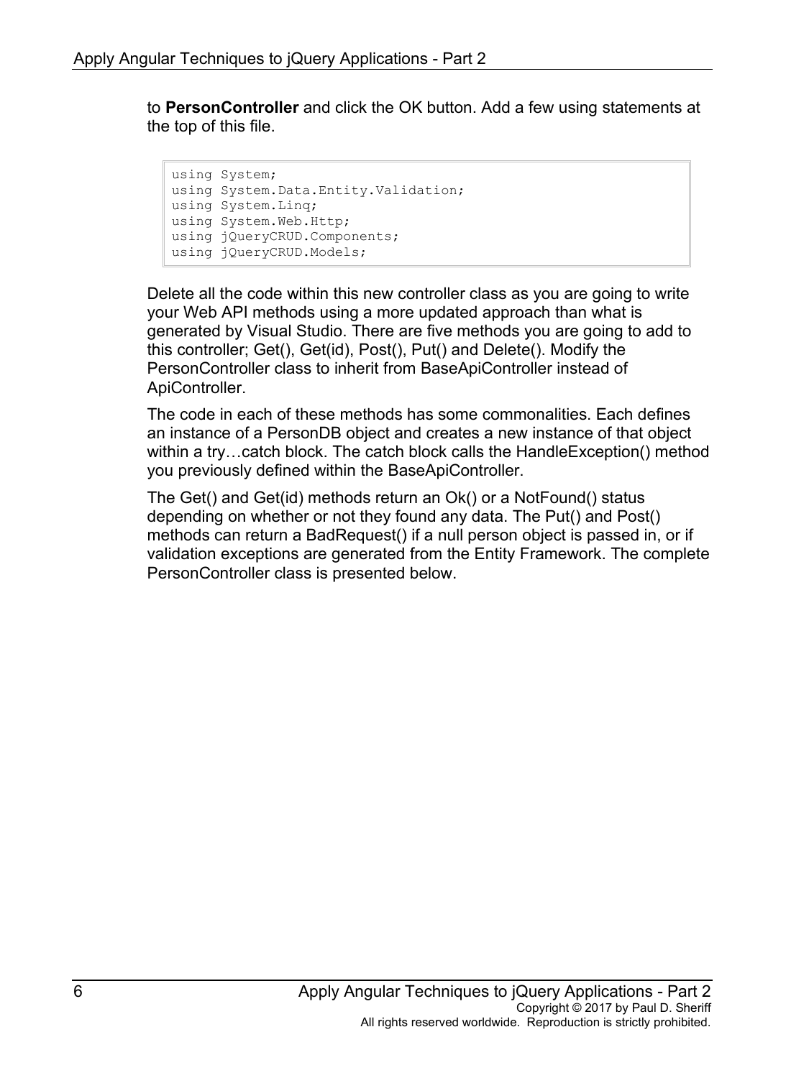to **PersonController** and click the OK button. Add a few using statements at the top of this file.

```
using System;
using System.Data.Entity.Validation;
using System.Linq;
using System.Web.Http;
using jQueryCRUD.Components;
using jQueryCRUD.Models;
```
Delete all the code within this new controller class as you are going to write your Web API methods using a more updated approach than what is generated by Visual Studio. There are five methods you are going to add to this controller; Get(), Get(id), Post(), Put() and Delete(). Modify the PersonController class to inherit from BaseApiController instead of ApiController.

The code in each of these methods has some commonalities. Each defines an instance of a PersonDB object and creates a new instance of that object within a try…catch block. The catch block calls the HandleException() method you previously defined within the BaseApiController.

The Get() and Get(id) methods return an Ok() or a NotFound() status depending on whether or not they found any data. The Put() and Post() methods can return a BadRequest() if a null person object is passed in, or if validation exceptions are generated from the Entity Framework. The complete PersonController class is presented below.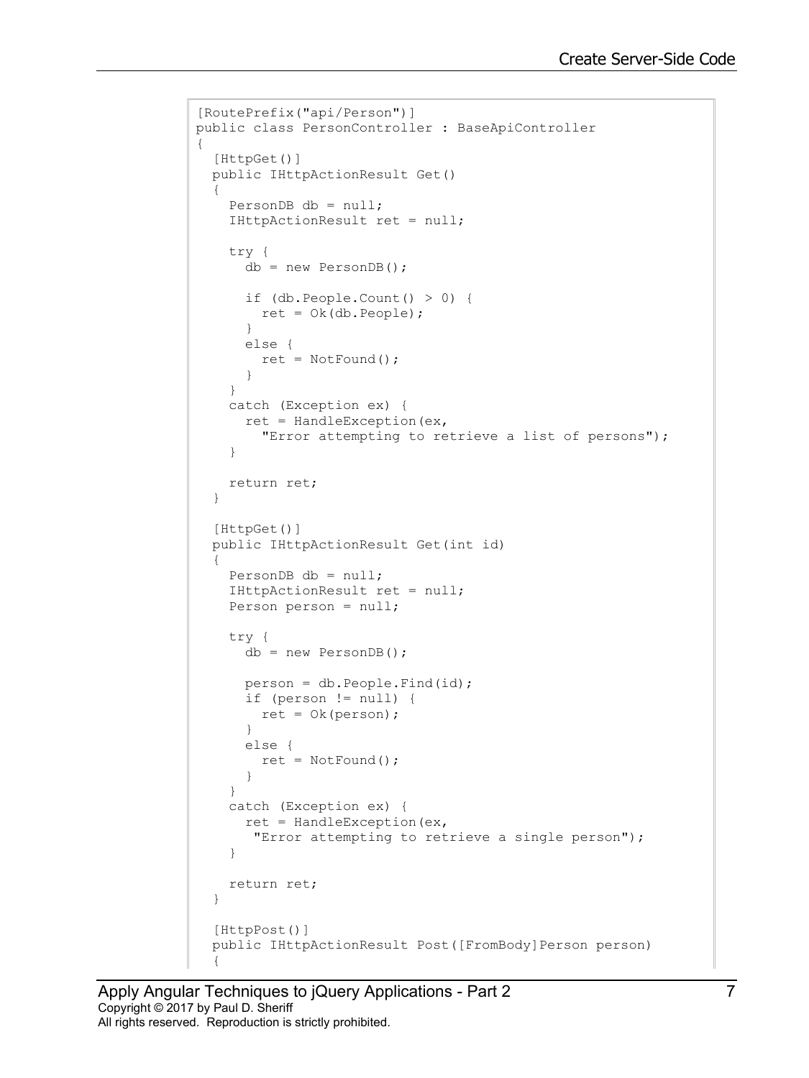```
[RoutePrefix("api/Person")]
public class PersonController : BaseApiController
{
   [HttpGet()]
   public IHttpActionResult Get()
   {
    PersonDB db = null;
     IHttpActionResult ret = null;
     try {
      db = new PersonDB();
       if (db.People.Count() > 0) {
         ret = Ok(db.People);
       }
       else {
         ret = NotFound();
       }
     }
     catch (Exception ex) {
      ret = HandleException (ex,
         "Error attempting to retrieve a list of persons");
     }
     return ret;
   }
   [HttpGet()]
   public IHttpActionResult Get(int id)
   {
    PersonDB db = null; IHttpActionResult ret = null;
     Person person = null;
     try {
       db = new PersonDB();
       person = db.People.Find(id);
       if (person != null) {
       ret = 0k(person); }
       else {
        ret = NotFound();
       }
     }
     catch (Exception ex) {
     ret = HandleException (ex,
        "Error attempting to retrieve a single person");
     }
     return ret;
   }
   [HttpPost()]
  public IHttpActionResult Post([FromBody]Person person)
\{
```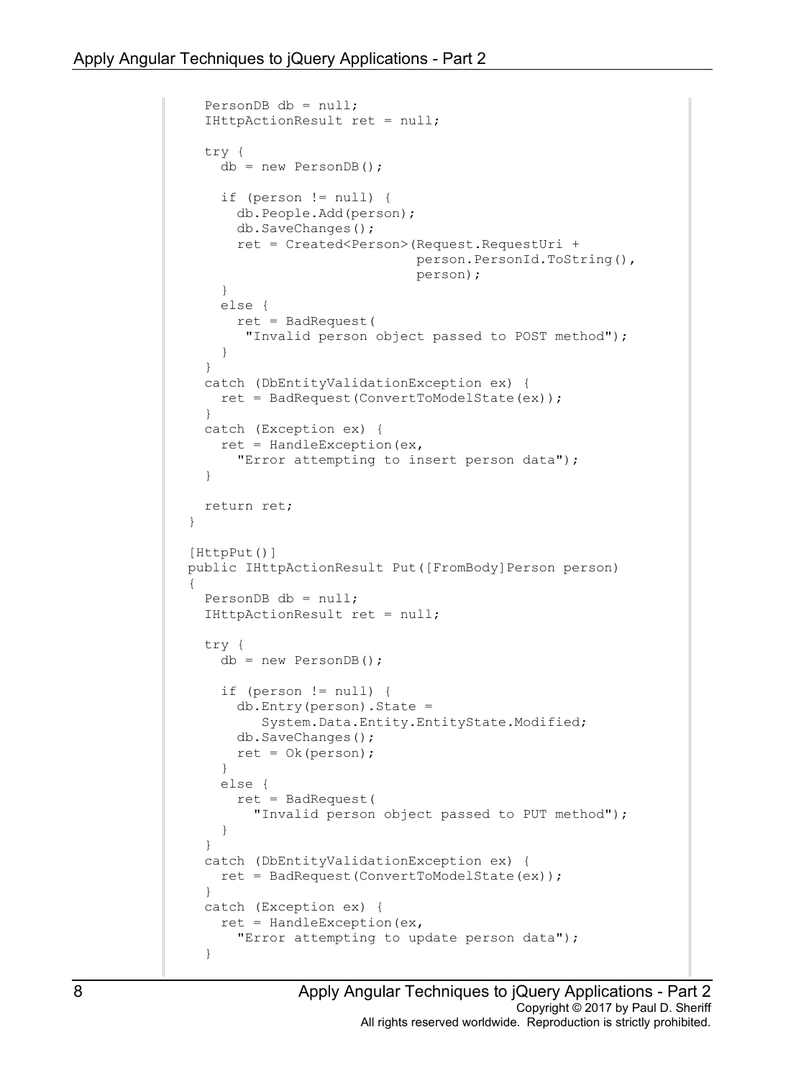```
 PersonDB db = null;
    IHttpActionResult ret = null;
    try {
     db = new PersonDB();
      if (person != null) {
         db.People.Add(person);
         db.SaveChanges();
         ret = Created<Person>(Request.RequestUri +
                                person.PersonId.ToString(),
                               person);
       }
      else {
         ret = BadRequest(
          "Invalid person object passed to POST method");
 }
     }
    catch (DbEntityValidationException ex) {
      ret = BadRequest(ConvertToModelState(ex));
     }
    catch (Exception ex) {
     ret = HandleException (ex,
        "Error attempting to insert person data");
     }
    return ret;
  }
   [HttpPut()]
 public IHttpActionResult Put ([FromBody]Person person)
  {
    PersonDB db = null;
    IHttpActionResult ret = null;
    try {
     db = new PersonDB();
      if (person != null) {
        db.Entry(person).State =
            System.Data.Entity.EntityState.Modified;
         db.SaveChanges();
        ret = 0k(person); }
      else {
         ret = BadRequest(
       "Invalid person object passed to PUT method");
 }
     }
    catch (DbEntityValidationException ex) {
      ret = BadRequest(ConvertToModelState(ex));
     }
    catch (Exception ex) {
     ret = HandleException (ex,
         "Error attempting to update person data");
     }
```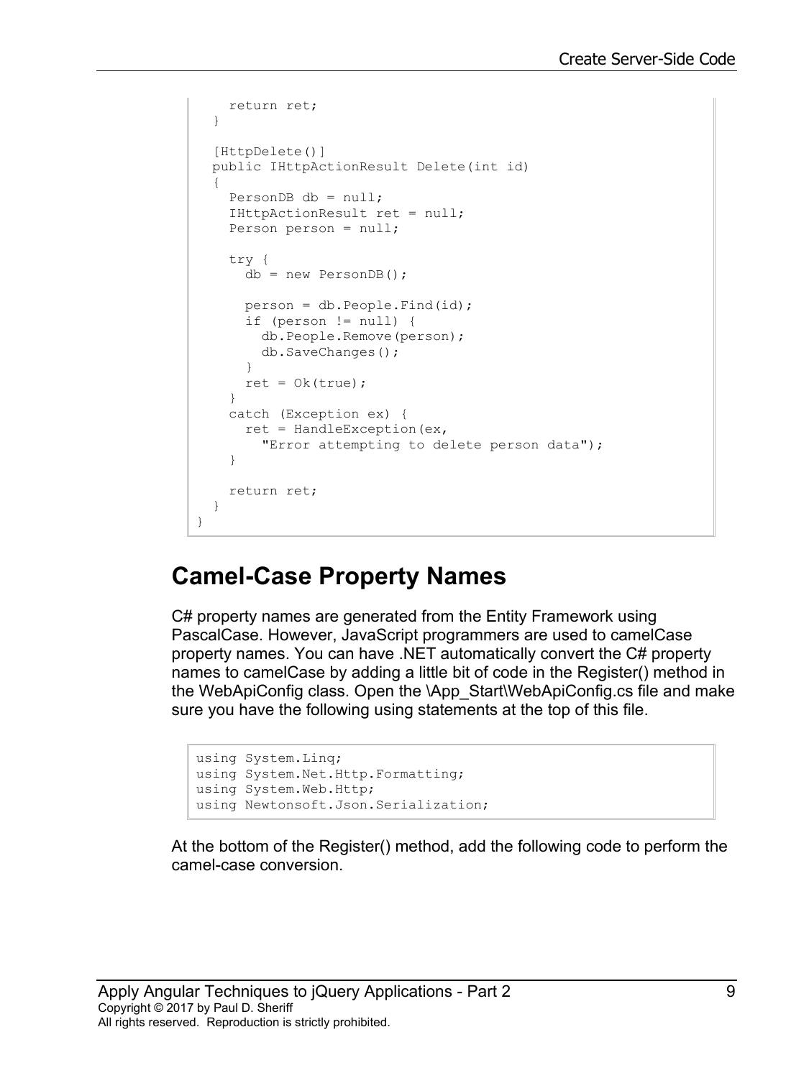```
 return ret;
   }
   [HttpDelete()]
  public IHttpActionResult Delete(int id)
  {
   PersonDB db = null; IHttpActionResult ret = null;
    Person person = null;
    try {
       db = new PersonDB();
       person = db.People.Find(id);
       if (person != null) {
         db.People.Remove(person);
         db.SaveChanges();
       }
      ret = 0k(true); }
     catch (Exception ex) {
      ret = HandleException (ex,
         "Error attempting to delete person data");
     }
     return ret;
  }
}
```
#### **Camel-Case Property Names**

C# property names are generated from the Entity Framework using PascalCase. However, JavaScript programmers are used to camelCase property names. You can have .NET automatically convert the C# property names to camelCase by adding a little bit of code in the Register() method in the WebApiConfig class. Open the \App\_Start\WebApiConfig.cs file and make sure you have the following using statements at the top of this file.

```
using System.Linq;
using System.Net.Http.Formatting;
using System.Web.Http;
using Newtonsoft.Json.Serialization;
```
At the bottom of the Register() method, add the following code to perform the camel-case conversion.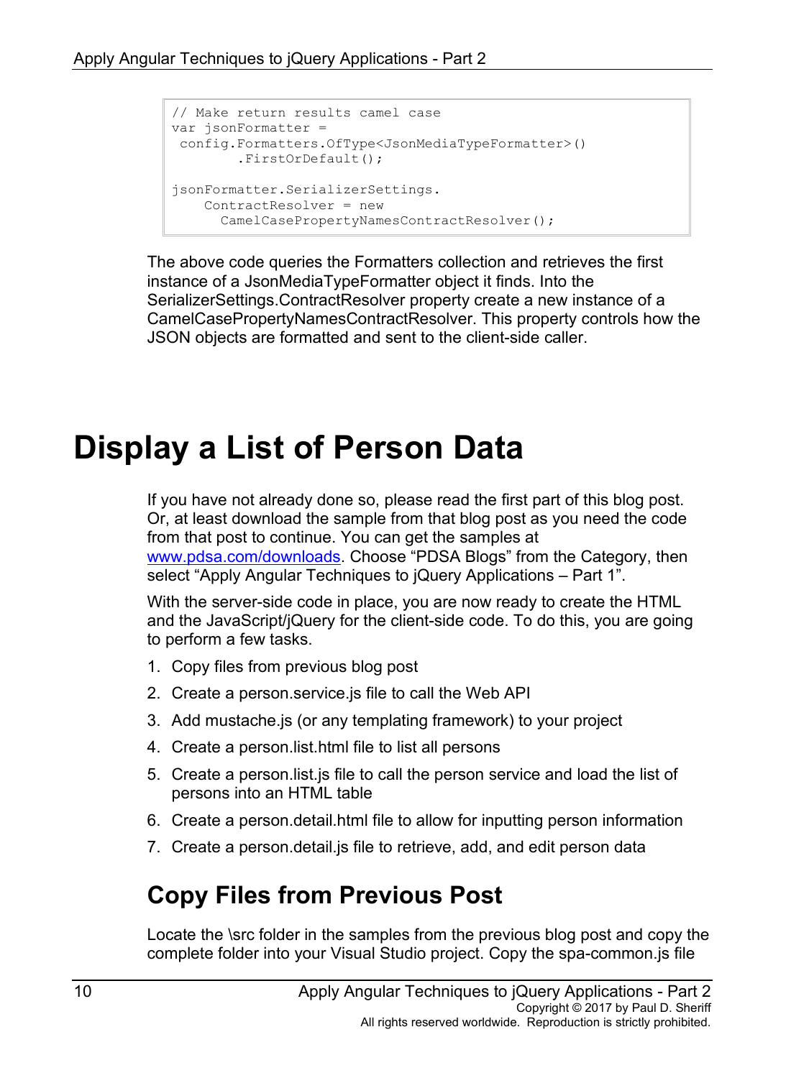```
// Make return results camel case
var jsonFormatter =
config.Formatters.OfType<JsonMediaTypeFormatter>()
         .FirstOrDefault();
jsonFormatter.SerializerSettings.
    ContractResolver = new
       CamelCasePropertyNamesContractResolver();
```
The above code queries the Formatters collection and retrieves the first instance of a JsonMediaTypeFormatter object it finds. Into the SerializerSettings.ContractResolver property create a new instance of a CamelCasePropertyNamesContractResolver. This property controls how the JSON objects are formatted and sent to the client-side caller.

# **Display a List of Person Data**

If you have not already done so, please read the first part of this blog post. Or, at least download the sample from that blog post as you need the code from that post to continue. You can get the samples at [www.pdsa.com/downloads.](http://www.pdsa.com/downloads) Choose "PDSA Blogs" from the Category, then select "Apply Angular Techniques to jQuery Applications – Part 1".

With the server-side code in place, you are now ready to create the HTML and the JavaScript/jQuery for the client-side code. To do this, you are going to perform a few tasks.

- 1. Copy files from previous blog post
- 2. Create a person.service.js file to call the Web API
- 3. Add mustache.js (or any templating framework) to your project
- 4. Create a person.list.html file to list all persons
- 5. Create a person.list.js file to call the person service and load the list of persons into an HTML table
- 6. Create a person.detail.html file to allow for inputting person information
- 7. Create a person.detail.js file to retrieve, add, and edit person data

## **Copy Files from Previous Post**

Locate the \src folder in the samples from the previous blog post and copy the complete folder into your Visual Studio project. Copy the spa-common.js file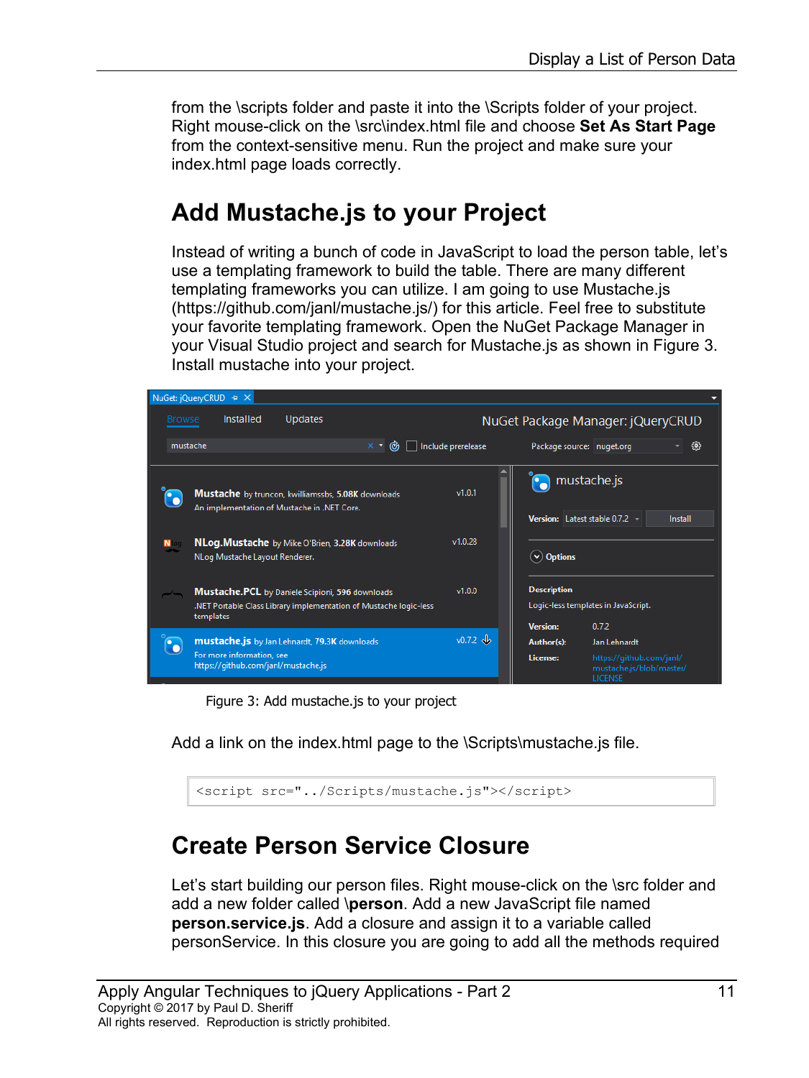from the \scripts folder and paste it into the \Scripts folder of your project. Right mouse-click on the \src\index.html file and choose **Set As Start Page** from the context-sensitive menu. Run the project and make sure your index.html page loads correctly.

## **Add Mustache.js to your Project**

Instead of writing a bunch of code in JavaScript to load the person table, let's use a templating framework to build the table. There are many different templating frameworks you can utilize. I am going to use Mustache.js (https://github.com/janl/mustache.js/) for this article. Feel free to substitute your favorite templating framework. Open the NuGet Package Manager in your Visual Studio project and search for Mustache.js as shown in [Figure 3.](#page-10-0) Install mustache into your project.

| NuGet: jQueryCRUD + X |                                                                  |                                                                                                                             |                   |                    |                                           |                                         |                                                      |
|-----------------------|------------------------------------------------------------------|-----------------------------------------------------------------------------------------------------------------------------|-------------------|--------------------|-------------------------------------------|-----------------------------------------|------------------------------------------------------|
| <b>Browse</b>         | Installed                                                        | <b>Updates</b>                                                                                                              |                   |                    |                                           | NuGet Package Manager: jQueryCRUD       |                                                      |
|                       | mustache                                                         |                                                                                                                             | $x - \mathcal{C}$ | Include prerelease |                                           | Package source: nuget.org               | 63                                                   |
|                       |                                                                  | <b>Mustache</b> by truncon, kwilliamssbs, 5.08K downloads                                                                   |                   | v1.0.1             |                                           | mustache.js                             |                                                      |
|                       |                                                                  | An implementation of Mustache in .NET Core.<br>NLog. Mustache by Mike O'Brien, 3.28K downloads                              |                   | v1.0.28            |                                           | Version: Latest stable 0.7.2            | Install                                              |
| N                     | NLog Mustache Layout Renderer.                                   |                                                                                                                             |                   |                    | $(v)$ Options                             |                                         |                                                      |
|                       | templates                                                        | <b>Mustache.PCL</b> by Daniele Scipioni, 596 downloads<br>.NET Portable Class Library implementation of Mustache logic-less |                   | v1.0.0             | <b>Description</b>                        | Logic-less templates in JavaScript.     |                                                      |
|                       | For more information, see<br>https://github.com/janl/mustache.js | mustache.js by Jan Lehnardt, 79.3K downloads                                                                                |                   | $v0.7.2 \, v$      | <b>Version:</b><br>Author(s):<br>License: | 0.7.2<br>Jan Lehnardt<br><b>LICENSE</b> | https://github.com/janl/<br>mustache.js/blob/master/ |

Figure 3: Add mustache.js to your project

<span id="page-10-0"></span>Add a link on the index.html page to the \Scripts\mustache.js file.

<script src="../Scripts/mustache.js"></script>

#### **Create Person Service Closure**

Let's start building our person files. Right mouse-click on the \src folder and add a new folder called \**person**. Add a new JavaScript file named **person.service.js**. Add a closure and assign it to a variable called personService. In this closure you are going to add all the methods required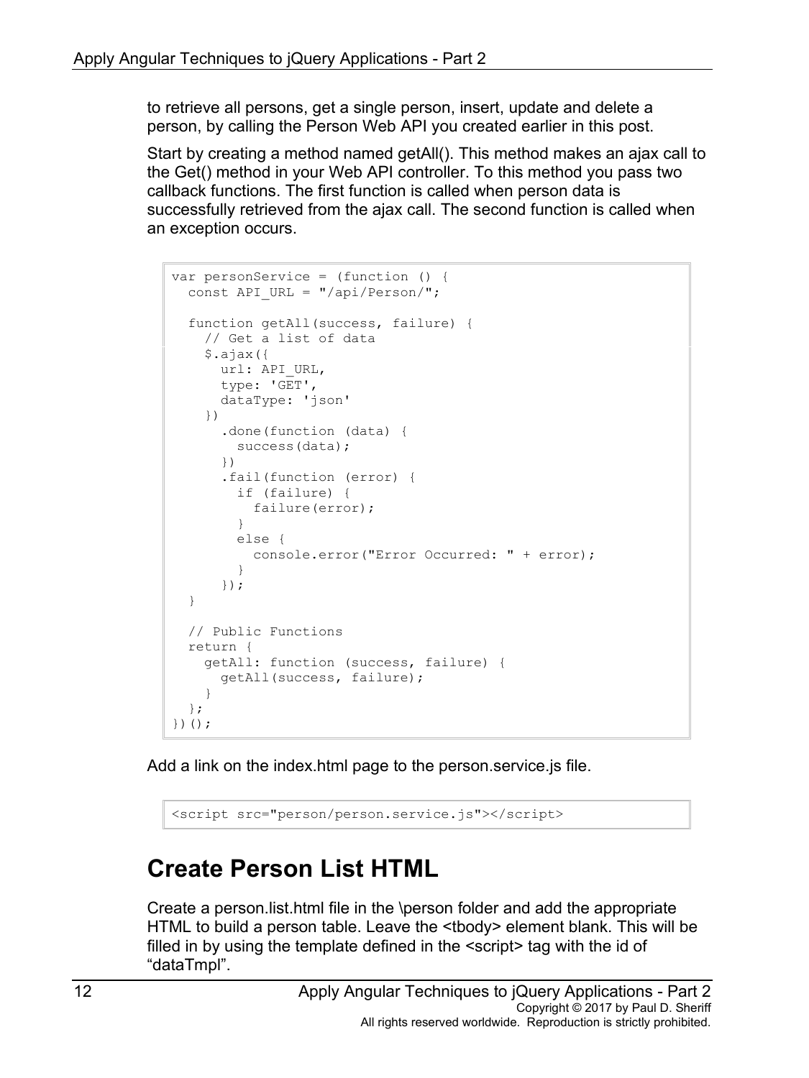to retrieve all persons, get a single person, insert, update and delete a person, by calling the Person Web API you created earlier in this post.

Start by creating a method named getAll(). This method makes an ajax call to the Get() method in your Web API controller. To this method you pass two callback functions. The first function is called when person data is successfully retrieved from the ajax call. The second function is called when an exception occurs.

```
var personService = (function () {
 const API URL = ''/api/Person/";
   function getAll(success, failure) {
     // Get a list of data
     $.ajax({
      url: API_URL,
      type: 'GET',
       dataType: 'json'
     })
       .done(function (data) {
         success(data);
       })
       .fail(function (error) {
         if (failure) {
           failure(error);
         }
         else {
           console.error("Error Occurred: " + error);
         }
       });
   }
   // Public Functions
  return {
     getAll: function (success, failure) {
       getAll(success, failure);
     }
   };
})();
```
Add a link on the index.html page to the person.service.js file.

<script src="person/person.service.js"></script>

## **Create Person List HTML**

Create a person.list.html file in the \person folder and add the appropriate HTML to build a person table. Leave the <tbody> element blank. This will be filled in by using the template defined in the <script> tag with the id of "dataTmpl".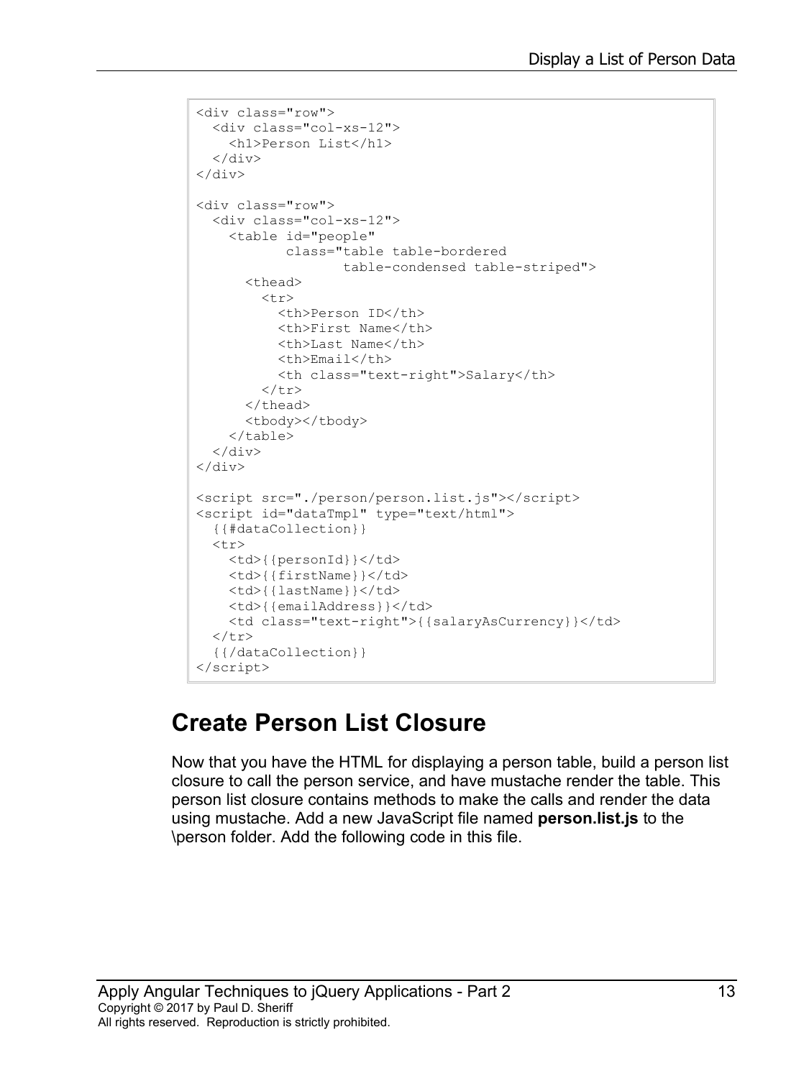```
<div class="row">
  <div class="col-xs-12">
     <h1>Person List</h1>
 \langlediv\rangle\langle/div\rangle<div class="row">
   <div class="col-xs-12">
     <table id="people"
             class="table table-bordered 
                    table-condensed table-striped">
      <thead>
         <tr>
            <th>Person ID</th>
            <th>First Name</th>
            <th>Last Name</th>
            <th>Email</th>
            <th class="text-right">Salary</th>
        \langle/tr>
       </thead>
       <tbody></tbody>
     </table>
  \langle div\rangle</div>
<script src="./person/person.list.js"></script>
<script id="dataTmpl" type="text/html">
   {{#dataCollection}}
  <tr>
     <td>{{personId}}</td>
    <td>{{firstName}}</td>
    <td>{{lastName}}</td>
     <td>{{emailAddress}}</td>
     <td class="text-right">{{salaryAsCurrency}}</td>
  \langle/tr>
   {{/dataCollection}}
</script>
```
## **Create Person List Closure**

Now that you have the HTML for displaying a person table, build a person list closure to call the person service, and have mustache render the table. This person list closure contains methods to make the calls and render the data using mustache. Add a new JavaScript file named **person.list.js** to the \person folder. Add the following code in this file.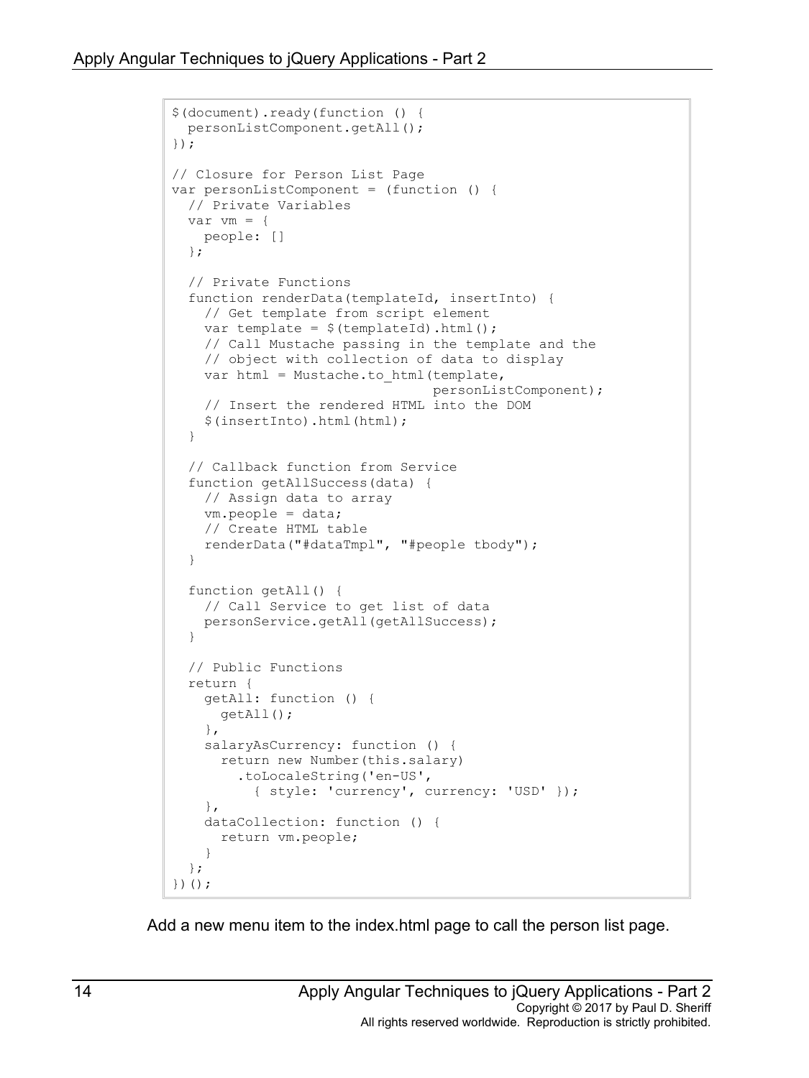```
$(document).ready(function () {
  personListComponent.getAll();
});
// Closure for Person List Page
var personListComponent = (function () {
   // Private Variables
 var vm = \{ people: []
   };
   // Private Functions
   function renderData(templateId, insertInto) {
     // Get template from script element
    var template = $(templateId).html();
     // Call Mustache passing in the template and the
     // object with collection of data to display
    var html = Mustache.to html(template,
                                   personListComponent);
     // Insert the rendered HTML into the DOM
     $(insertInto).html(html);
   }
   // Callback function from Service
   function getAllSuccess(data) {
     // Assign data to array
     vm.people = data;
     // Create HTML table
     renderData("#dataTmpl", "#people tbody");
   }
   function getAll() {
     // Call Service to get list of data
     personService.getAll(getAllSuccess); 
   }
   // Public Functions
   return {
     getAll: function () {
       getAll();
     },
     salaryAsCurrency: function () {
       return new Number(this.salary)
         .toLocaleString('en-US', 
           { style: 'currency', currency: 'USD' });
     },
     dataCollection: function () {
       return vm.people;
     }
   };
})();
```
Add a new menu item to the index.html page to call the person list page.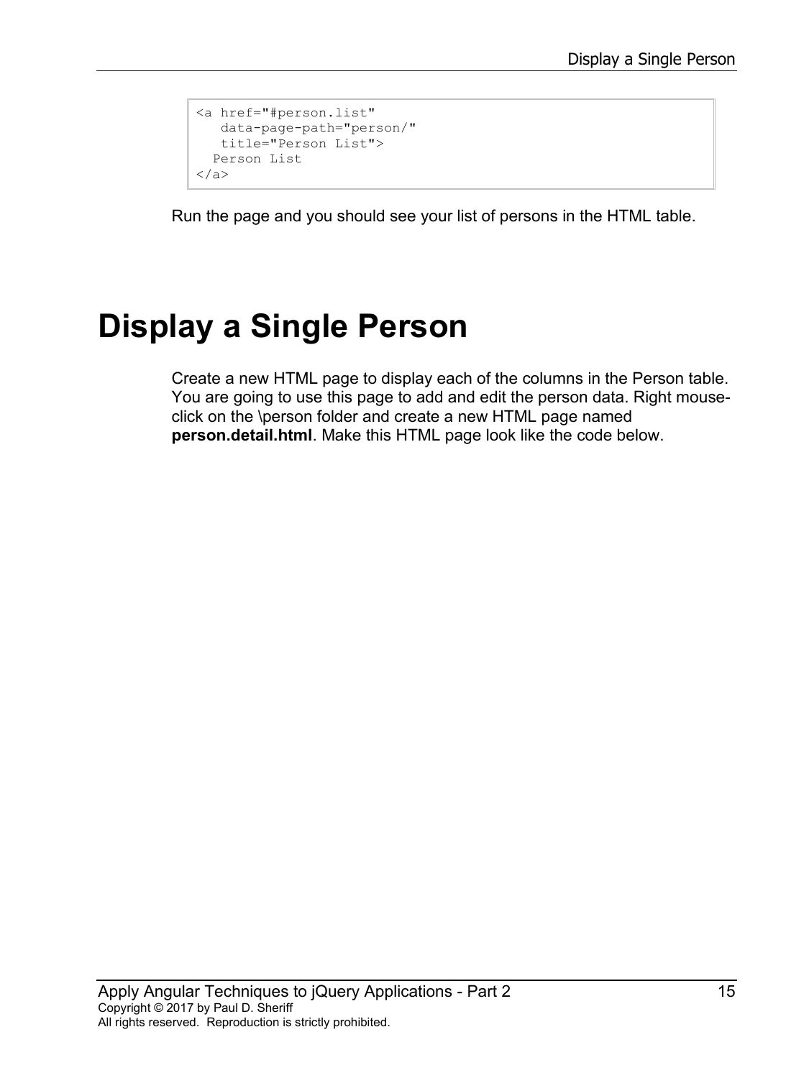```
<a href="#person.list" 
  data-page-path="person/" 
   title="Person List">
  Person List
</a>
```
Run the page and you should see your list of persons in the HTML table.

# **Display a Single Person**

Create a new HTML page to display each of the columns in the Person table. You are going to use this page to add and edit the person data. Right mouseclick on the \person folder and create a new HTML page named **person.detail.html**. Make this HTML page look like the code below.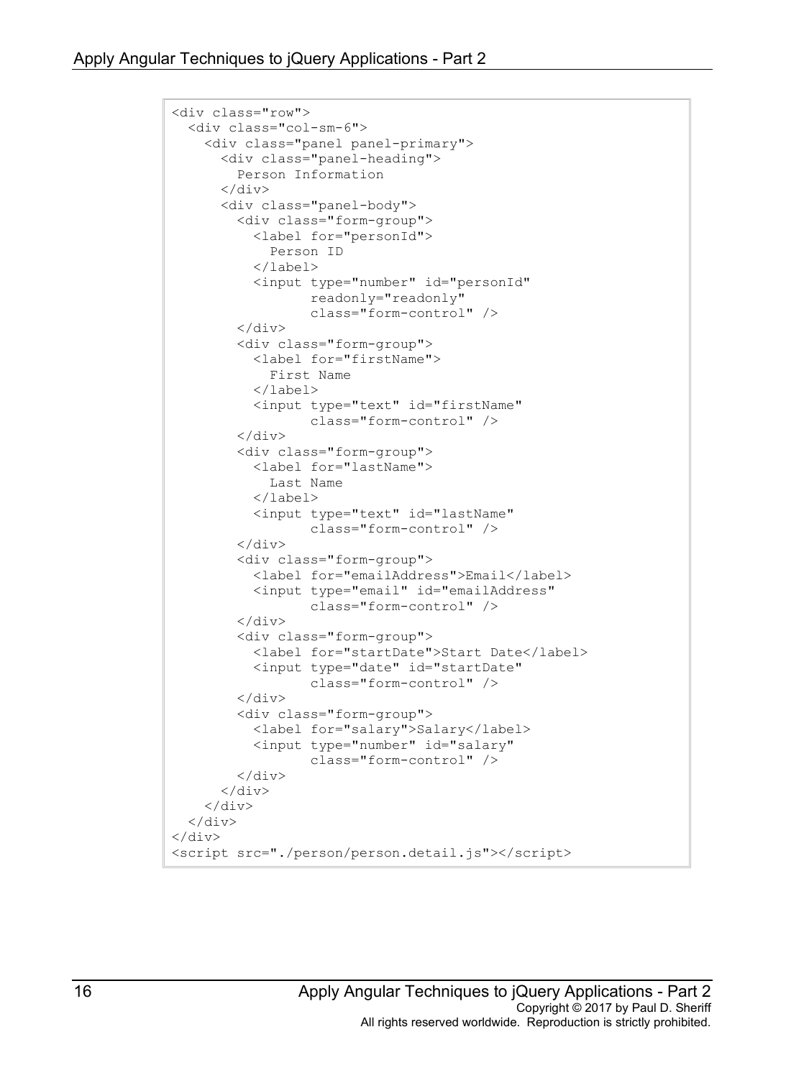```
<div class="row">
   <div class="col-sm-6">
     <div class="panel panel-primary">
       <div class="panel-heading">
         Person Information
      \langle div>
       <div class="panel-body">
          <div class="form-group">
            <label for="personId">
              Person ID
            </label>
            <input type="number" id="personId"
                    readonly="readonly"
                   class="form-control" />
         \langle/div\rangle <div class="form-group">
            <label for="firstName">
              First Name
            </label>
            <input type="text" id="firstName"
                   class="form-control" />
         \langle div>
          <div class="form-group">
            <label for="lastName">
              Last Name
            </label>
            <input type="text" id="lastName"
                    class="form-control" />
          </div>
          <div class="form-group">
            <label for="emailAddress">Email</label>
            <input type="email" id="emailAddress"
                    class="form-control" />
          </div>
          <div class="form-group">
            <label for="startDate">Start Date</label>
            <input type="date" id="startDate"
                    class="form-control" />
          </div>
          <div class="form-group">
            <label for="salary">Salary</label>
            <input type="number" id="salary"
                    class="form-control" />
         \langle div\rangle\langle div\rangle\langle/div\rangle\langle div>
</div>
<script src="./person/person.detail.js"></script>
```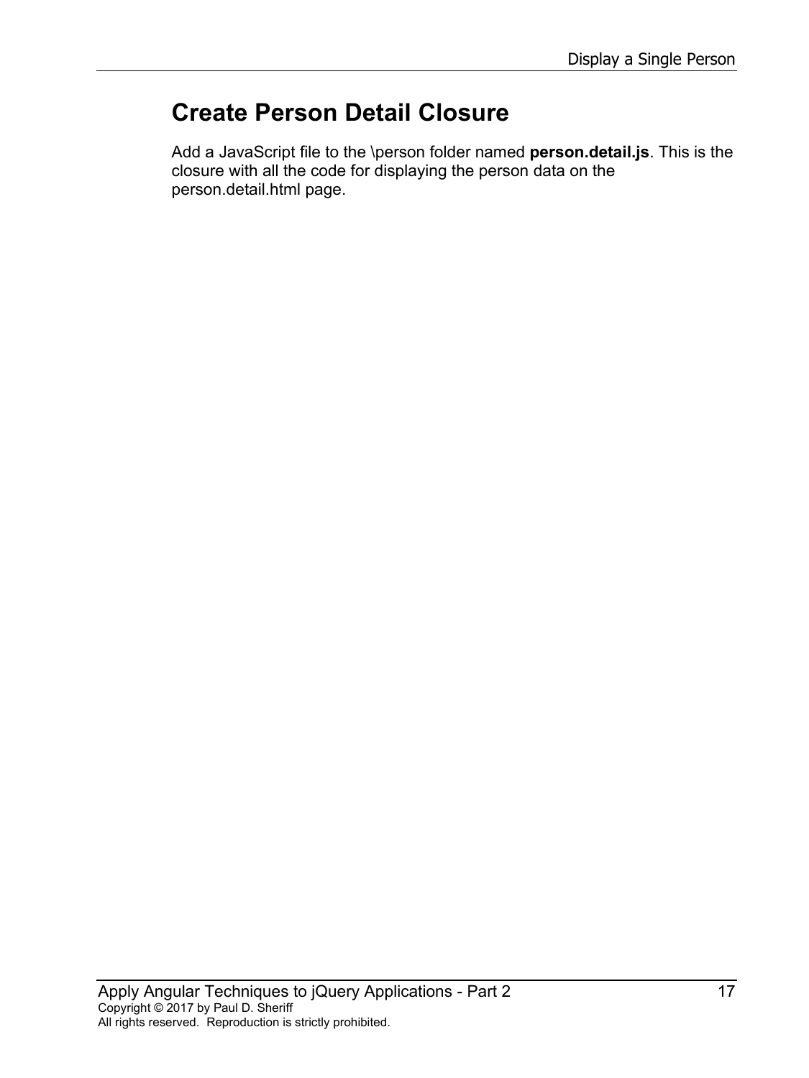## **Create Person Detail Closure**

Add a JavaScript file to the \person folder named **person.detail.js**. This is the closure with all the code for displaying the person data on the person.detail.html page.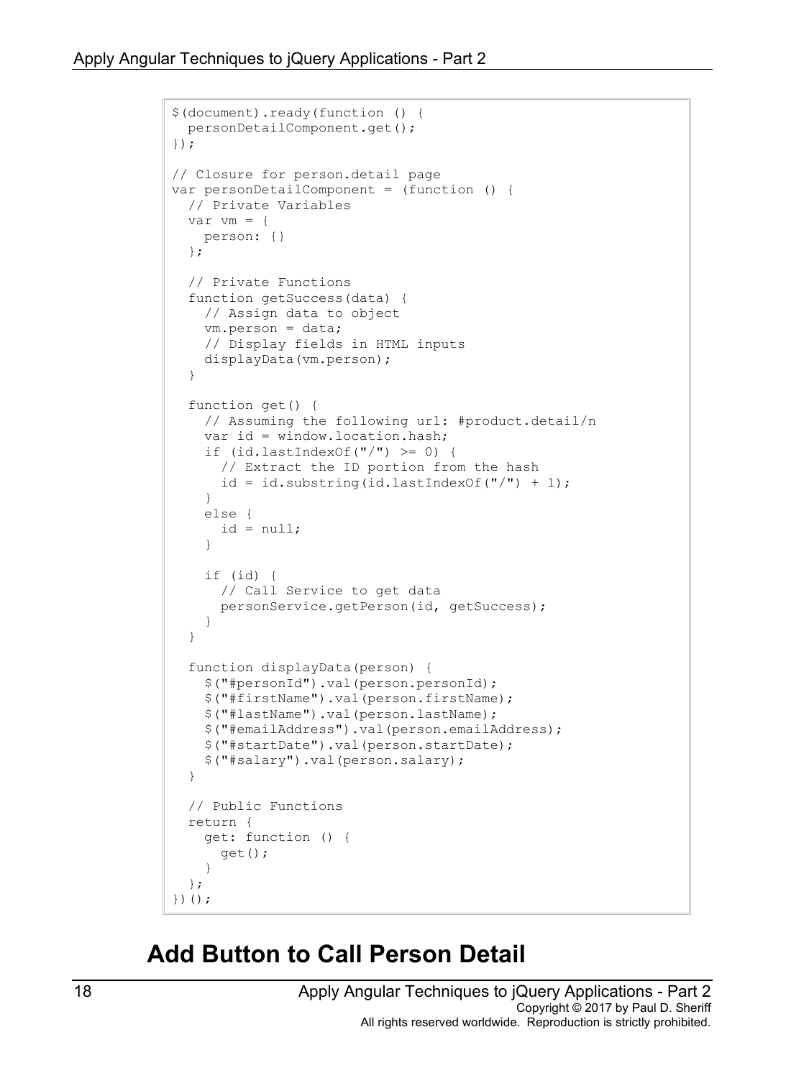```
$(document).ready(function () {
   personDetailComponent.get();
});
// Closure for person.detail page
var personDetailComponent = (function () {
   // Private Variables
  var vm = \{ person: {}
   };
   // Private Functions
   function getSuccess(data) {
     // Assign data to object
     vm.person = data;
     // Display fields in HTML inputs
     displayData(vm.person);
   }
   function get() {
     // Assuming the following url: #product.detail/n
     var id = window.location.hash;
    if (idu = \text{lastIndexOf}("') > = 0) // Extract the ID portion from the hash
      id = id.substring(id.lastIndexOf("/") + 1); }
     else {
      id = null; }
     if (id) {
       // Call Service to get data
       personService.getPerson(id, getSuccess); 
     }
   }
   function displayData(person) {
     $("#personId").val(person.personId);
     $("#firstName").val(person.firstName);
     $("#lastName").val(person.lastName);
     $("#emailAddress").val(person.emailAddress);
     $("#startDate").val(person.startDate);
     $("#salary").val(person.salary);
   }
   // Public Functions
   return {
     get: function () { 
       get();
     }
   };
})();
```
#### **Add Button to Call Person Detail**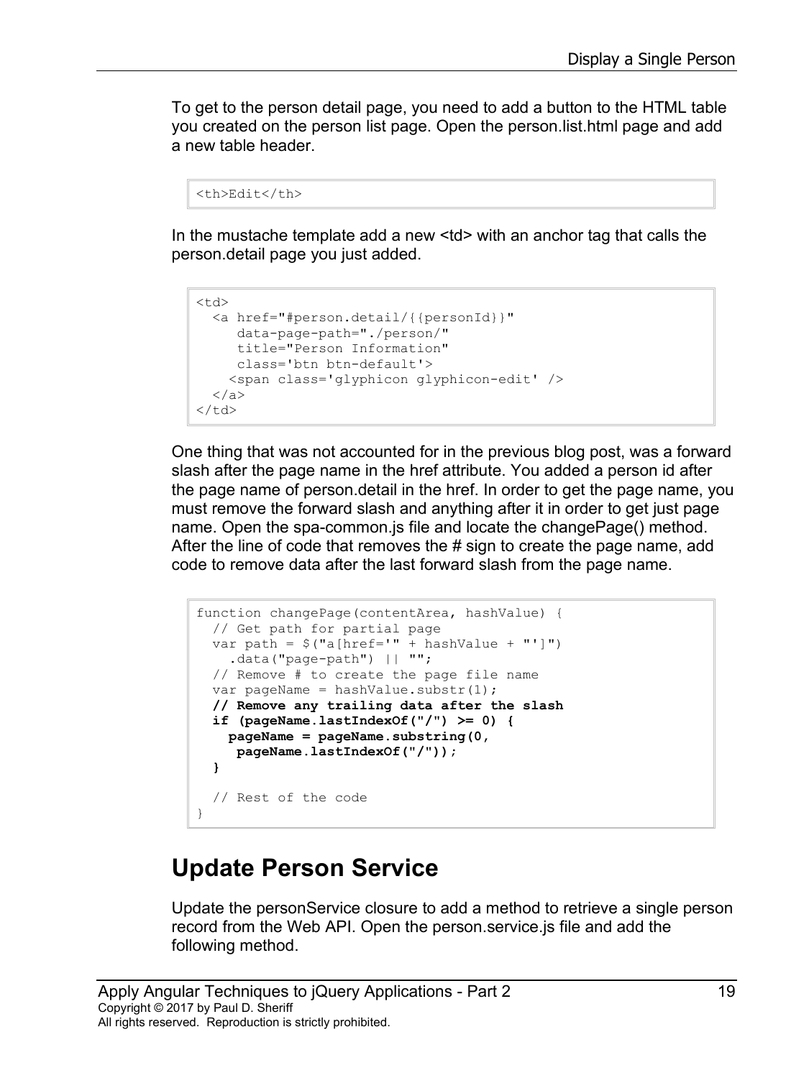To get to the person detail page, you need to add a button to the HTML table you created on the person list page. Open the person.list.html page and add a new table header.

```
<th>Edit</th>
```
In the mustache template add a new <td> with an anchor tag that calls the person.detail page you just added.

```
<td>
   <a href="#person.detail/{{personId}}"
     data-page-path="./person/"
      title="Person Information"
      class='btn btn-default'>
     <span class='glyphicon glyphicon-edit' />
  \langlea>
\langle t \rangle
```
One thing that was not accounted for in the previous blog post, was a forward slash after the page name in the href attribute. You added a person id after the page name of person.detail in the href. In order to get the page name, you must remove the forward slash and anything after it in order to get just page name. Open the spa-common.js file and locate the changePage() method. After the line of code that removes the # sign to create the page name, add code to remove data after the last forward slash from the page name.

```
function changePage(contentArea, hashValue) {
  // Get path for partial page
 var path = $("a[href='" + hashValue + "']") .data("page-path") || "";
  // Remove # to create the page file name
 var pageName = hashValue.substr(1);
  // Remove any trailing data after the slash
  if (pageName.lastIndexOf("/") >= 0) {
    pageName = pageName.substring(0,
     pageName.lastIndexOf("/"));
   }
   // Rest of the code
}
```
## **Update Person Service**

Update the personService closure to add a method to retrieve a single person record from the Web API. Open the person.service.js file and add the following method.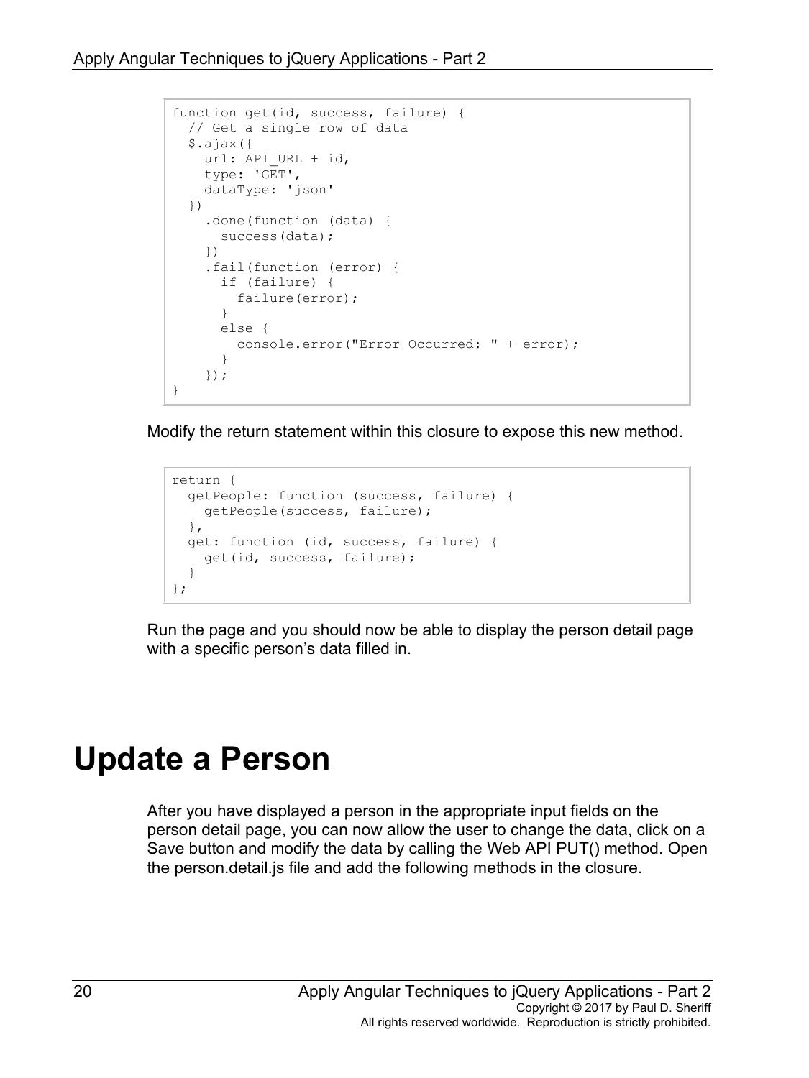```
function get(id, success, failure) {
  // Get a single row of data
  $.ajax({
   url: API URL + id,
    type: 'GET',
    dataType: 'json'
  })
     .done(function (data) {
       success(data);
     })
     .fail(function (error) {
       if (failure) {
        failure(error);
       }
       else {
         console.error("Error Occurred: " + error);
       }
     });
}
```
Modify the return statement within this closure to expose this new method.

```
return {
   getPeople: function (success, failure) {
    getPeople(success, failure);
  },
  get: function (id, success, failure) {
    get(id, success, failure);
   }
};
```
Run the page and you should now be able to display the person detail page with a specific person's data filled in.

## **Update a Person**

After you have displayed a person in the appropriate input fields on the person detail page, you can now allow the user to change the data, click on a Save button and modify the data by calling the Web API PUT() method. Open the person.detail.js file and add the following methods in the closure.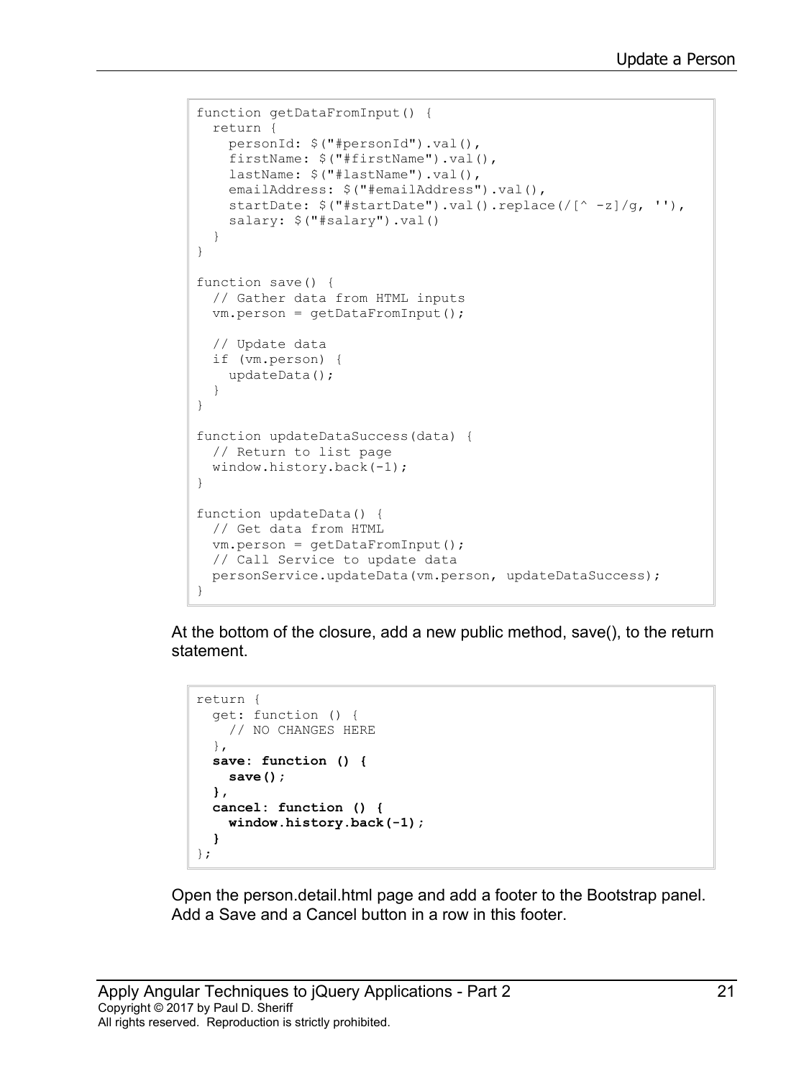```
function getDataFromInput() {
  return {
    personId: $("#personId").val(),
    firstName: $("#firstName") .val(),
    lastName: $("#lastName").val(),
    emailAddress: $("#emailAddress") .val(),
    startDate: \frac{2}{3}("#startDate").val().replace(/[^ -z]/g, ''),
     salary: $("#salary").val()
   }
}
function save() {
  // Gather data from HTML inputs
  vm.person = getDataFromInput();
   // Update data
  if (vm.person) {
     updateData();
   }
}
function updateDataSuccess(data) {
   // Return to list page
  window.history.back(-1);
}
function updateData() {
  // Get data from HTML
  vm.person = getDataFromInput();
  // Call Service to update data
  personService.updateData(vm.person, updateDataSuccess);
}
```
At the bottom of the closure, add a new public method, save(), to the return statement.

```
return {
   get: function () {
    // NO CHANGES HERE
   },
   save: function () {
     save();
  },
   cancel: function () {
     window.history.back(-1);
   }
};
```
Open the person.detail.html page and add a footer to the Bootstrap panel. Add a Save and a Cancel button in a row in this footer.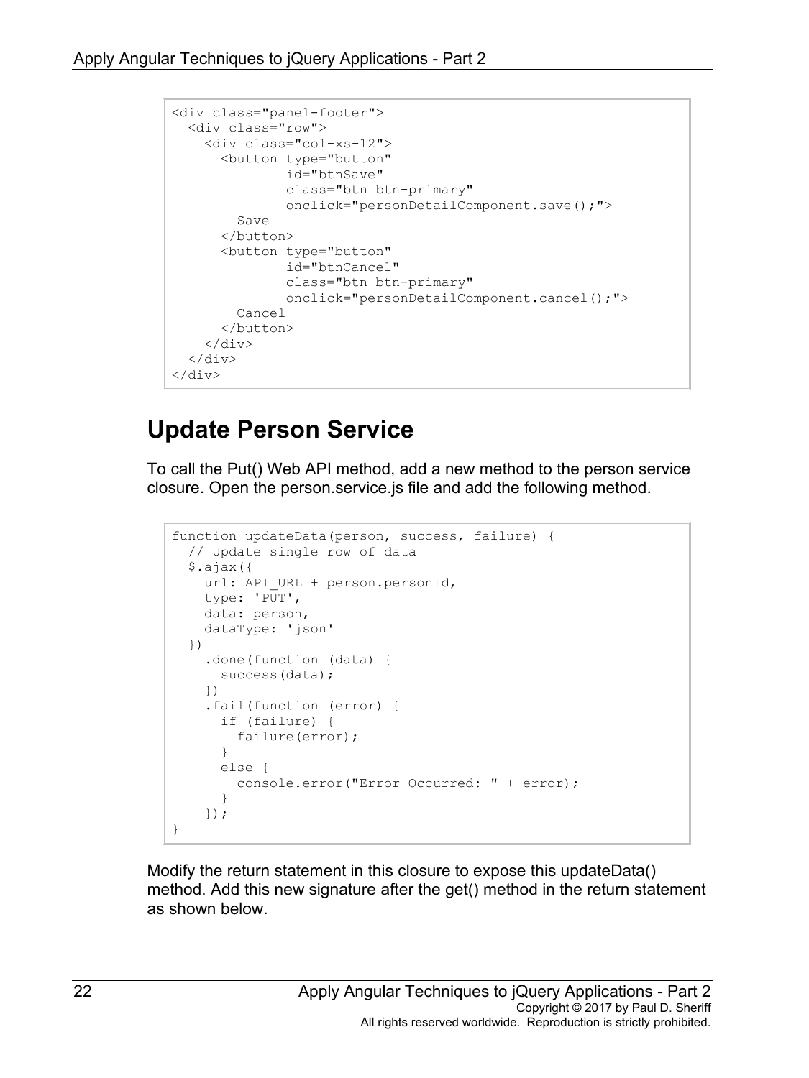```
<div class="panel-footer">
  <div class="row">
     <div class="col-xs-12">
       <button type="button"
               id="btnSave"
                class="btn btn-primary"
                onclick="personDetailComponent.save();">
         Save
       </button>
       <button type="button"
                id="btnCancel"
                class="btn btn-primary"
                onclick="personDetailComponent.cancel();">
         Cancel
       </button>
    \langlediv\rangle\langle/div\rangle</div>
```
## **Update Person Service**

To call the Put() Web API method, add a new method to the person service closure. Open the person.service.js file and add the following method.

```
function updateData(person, success, failure) {
   // Update single row of data
   $.ajax({
   url: API URL + person.personId,
    type: 'PUT',
    data: person,
     dataType: 'json'
  })
     .done(function (data) {
       success(data);
     })
     .fail(function (error) {
       if (failure) {
         failure(error);
       }
       else {
         console.error("Error Occurred: " + error);
       }
     });
}
```
Modify the return statement in this closure to expose this updateData() method. Add this new signature after the get() method in the return statement as shown below.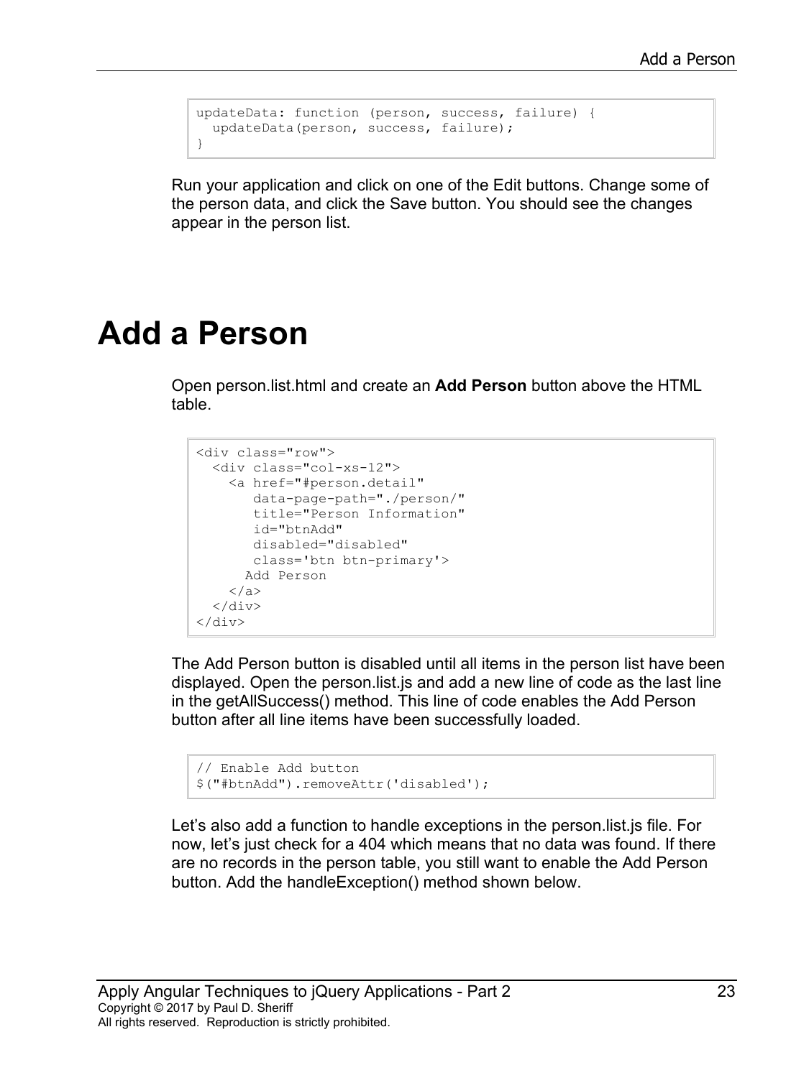```
updateData: function (person, success, failure) {
  updateData(person, success, failure);
}
```
Run your application and click on one of the Edit buttons. Change some of the person data, and click the Save button. You should see the changes appear in the person list.

## **Add a Person**

Open person.list.html and create an **Add Person** button above the HTML table.

```
<div class="row">
   <div class="col-xs-12">
     <a href="#person.detail"
       data-page-path="./person/" 
        title="Person Information" 
        id="btnAdd"
        disabled="disabled"
        class='btn btn-primary'>
      Add Person
     </a>
  \langlediv></div>
```
The Add Person button is disabled until all items in the person list have been displayed. Open the person.list.js and add a new line of code as the last line in the getAllSuccess() method. This line of code enables the Add Person button after all line items have been successfully loaded.

```
// Enable Add button
$("#btnAdd").removeAttr('disabled');
```
Let's also add a function to handle exceptions in the person.list.js file. For now, let's just check for a 404 which means that no data was found. If there are no records in the person table, you still want to enable the Add Person button. Add the handleException() method shown below.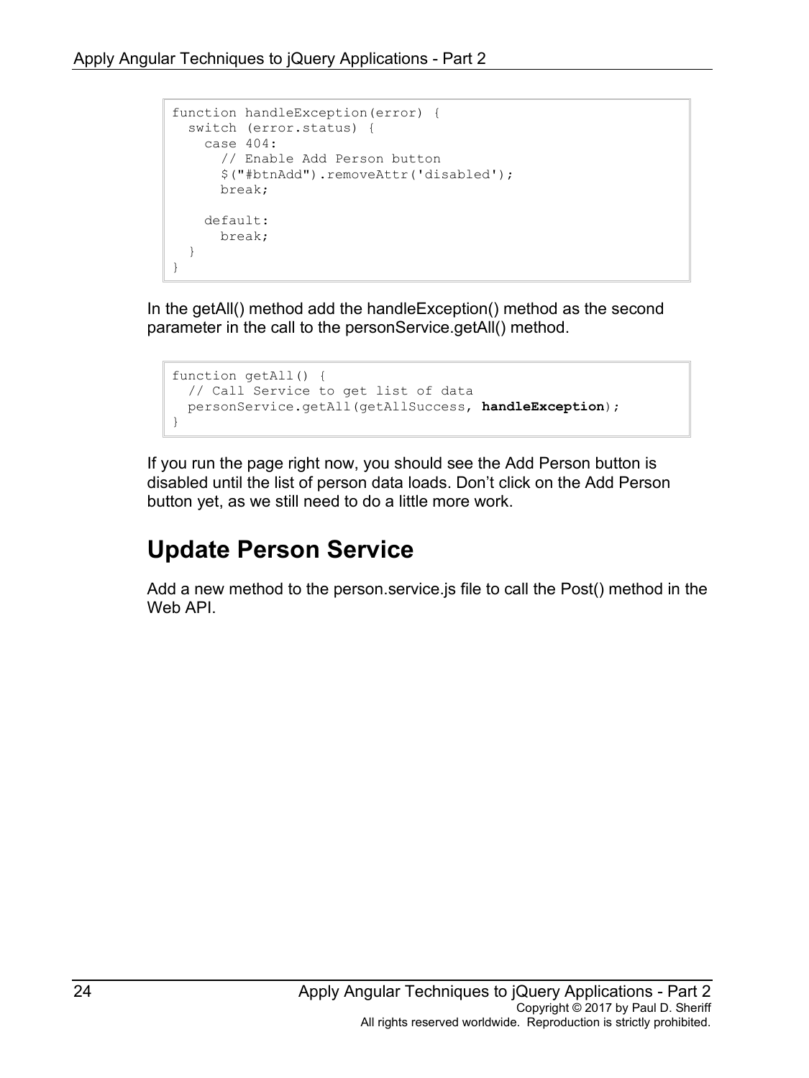```
function handleException(error) {
  switch (error.status) {
    case 404:
       // Enable Add Person button
       $("#btnAdd").removeAttr('disabled');
       break;
    default:
      break;
   }
}
```
In the getAll() method add the handleException() method as the second parameter in the call to the personService.getAll() method.

```
function getAll() {
  // Call Service to get list of data
  personService.getAll(getAllSuccess, handleException);
}
```
If you run the page right now, you should see the Add Person button is disabled until the list of person data loads. Don't click on the Add Person button yet, as we still need to do a little more work.

## **Update Person Service**

Add a new method to the person.service.js file to call the Post() method in the Web API.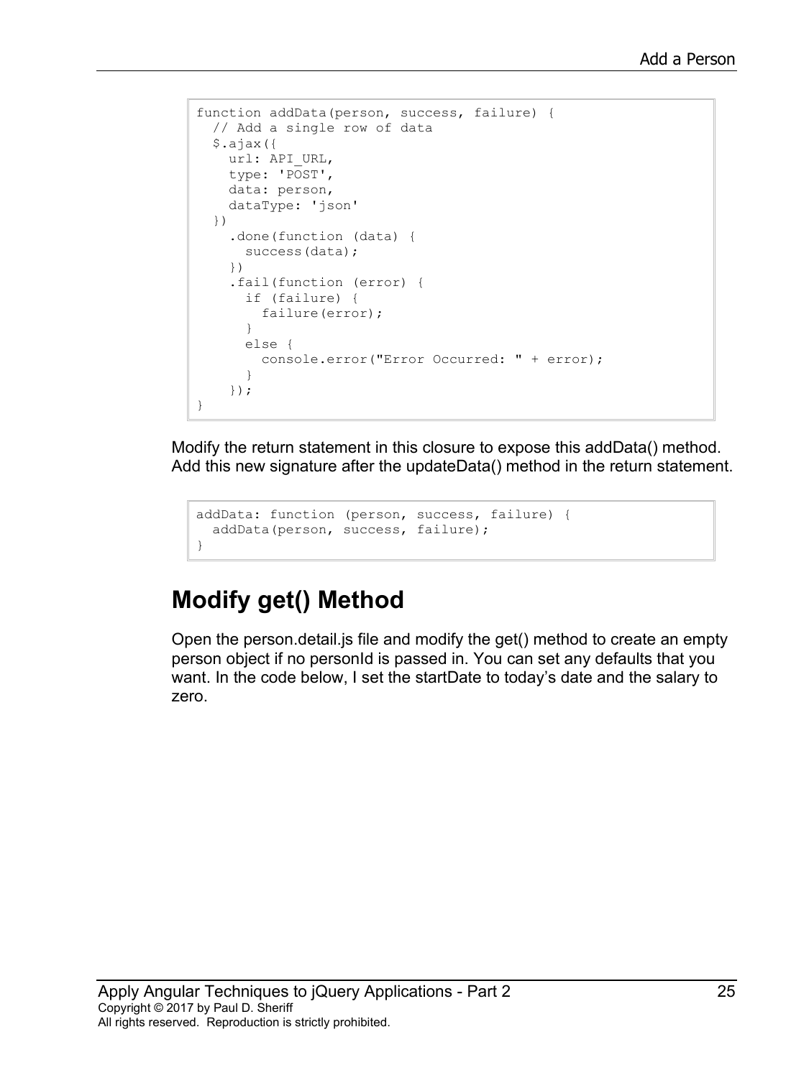```
function addData(person, success, failure) {
  // Add a single row of data
  $.ajax({
   url: API URL,
    type: 'POST',
    data: person,
    dataType: 'json'
   })
     .done(function (data) {
       success(data);
     })
     .fail(function (error) {
       if (failure) {
         failure(error);
       }
       else {
        console.error("Error Occurred: " + error);
       }
     });
}
```
Modify the return statement in this closure to expose this addData() method. Add this new signature after the updateData() method in the return statement.

```
addData: function (person, success, failure) {
  addData(person, success, failure);
}
```
## **Modify get() Method**

Open the person.detail.js file and modify the get() method to create an empty person object if no personId is passed in. You can set any defaults that you want. In the code below, I set the startDate to today's date and the salary to zero.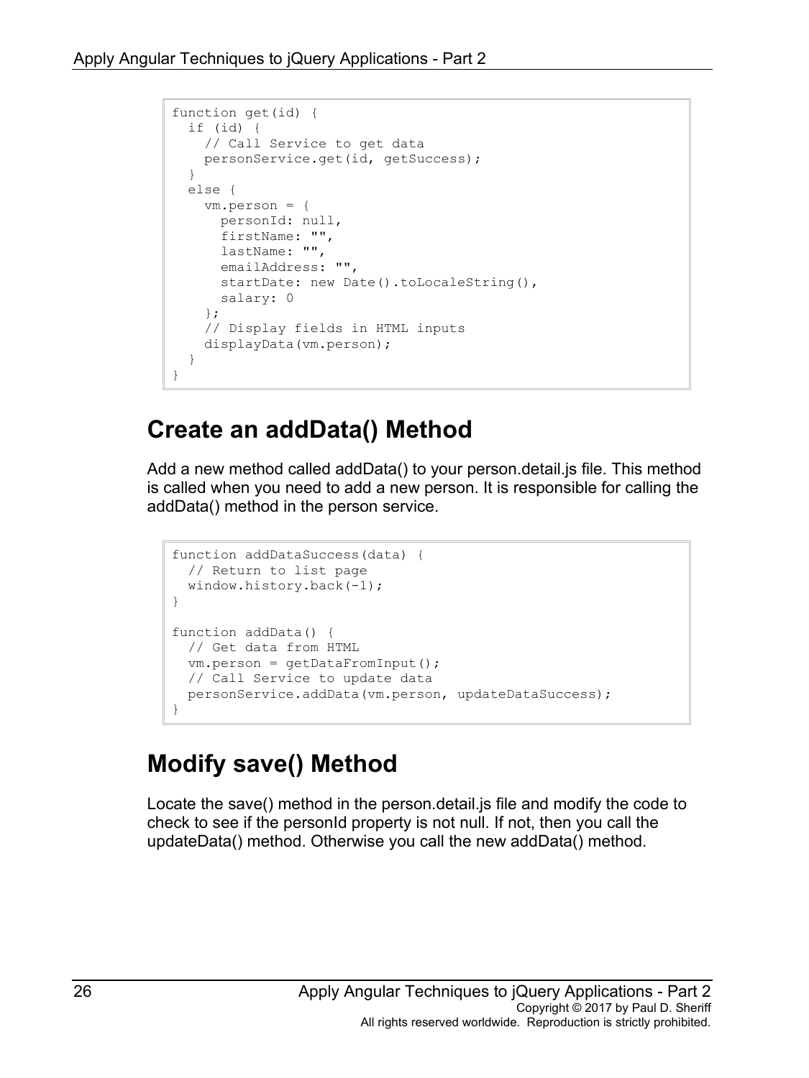```
function get(id) {
  if (id) {
    // Call Service to get data
    personService.get(id, getSuccess);
  }
  else {
    vm.person = {
      personId: null,
       firstName: "",
       lastName: "",
       emailAddress: "",
      startDate: new Date().toLocaleString(),
      salary: 0
     };
     // Display fields in HTML inputs
     displayData(vm.person);
  }
}
```
## **Create an addData() Method**

Add a new method called addData() to your person.detail.js file. This method is called when you need to add a new person. It is responsible for calling the addData() method in the person service.

```
function addDataSuccess(data) {
  // Return to list page
  window.history.back(-1);
}
function addData() {
  // Get data from HTML
 vm.person = qetDataFromInput();
  // Call Service to update data
  personService.addData(vm.person, updateDataSuccess);
}
```
## **Modify save() Method**

Locate the save() method in the person.detail.js file and modify the code to check to see if the personId property is not null. If not, then you call the updateData() method. Otherwise you call the new addData() method.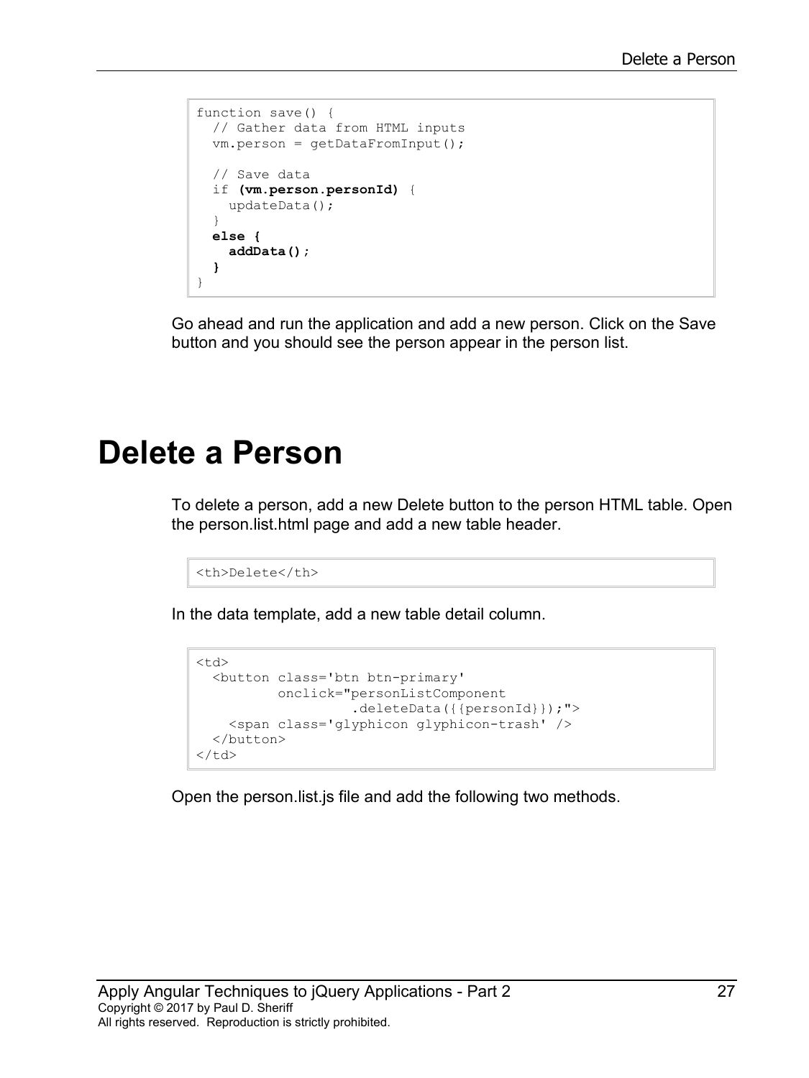```
function save() {
  // Gather data from HTML inputs
  vm.person = getDataFromInput();
   // Save data
   if (vm.person.personId) {
     updateData();
   }
   else {
     addData();
   }
}
```
Go ahead and run the application and add a new person. Click on the Save button and you should see the person appear in the person list.

## **Delete a Person**

To delete a person, add a new Delete button to the person HTML table. Open the person.list.html page and add a new table header.

```
<th>Delete</th>
```
In the data template, add a new table detail column.

```
<td>
  <button class='btn btn-primary'
          onclick="personListComponent
                     .deleteData({{personId}});">
     <span class='glyphicon glyphicon-trash' />
   </button>
\langle t \rangle
```
Open the person.list.js file and add the following two methods.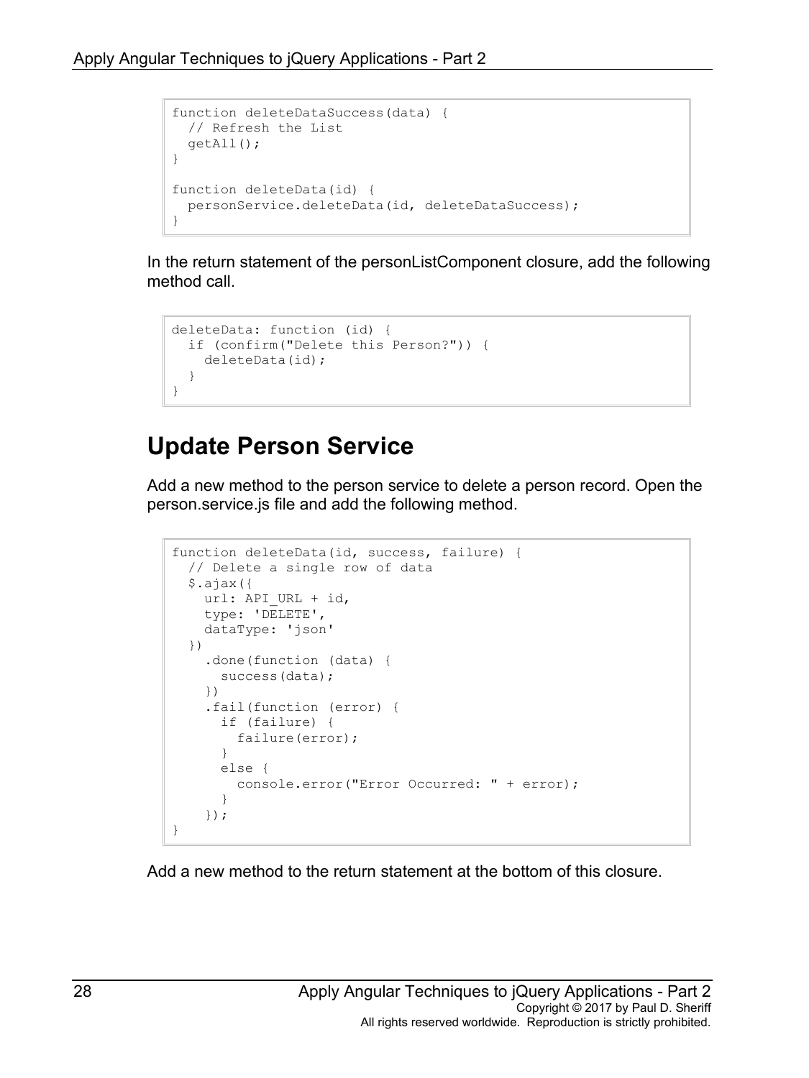```
function deleteDataSuccess(data) {
  // Refresh the List
  getAll(); 
}
function deleteData(id) {
  personService.deleteData(id, deleteDataSuccess);
}
```
In the return statement of the personListComponent closure, add the following method call.

```
deleteData: function (id) {
  if (confirm("Delete this Person?")) {
    deleteData(id);
   }
}
```
## **Update Person Service**

Add a new method to the person service to delete a person record. Open the person.service.js file and add the following method.

```
function deleteData(id, success, failure) {
  // Delete a single row of data
  $.ajax({
   url: API URL + id,
    type: 'DELETE',
     dataType: 'json'
  })
     .done(function (data) {
       success(data);
     })
     .fail(function (error) {
       if (failure) {
         failure(error);
       }
       else {
         console.error("Error Occurred: " + error);
       }
     });
}
```
Add a new method to the return statement at the bottom of this closure.